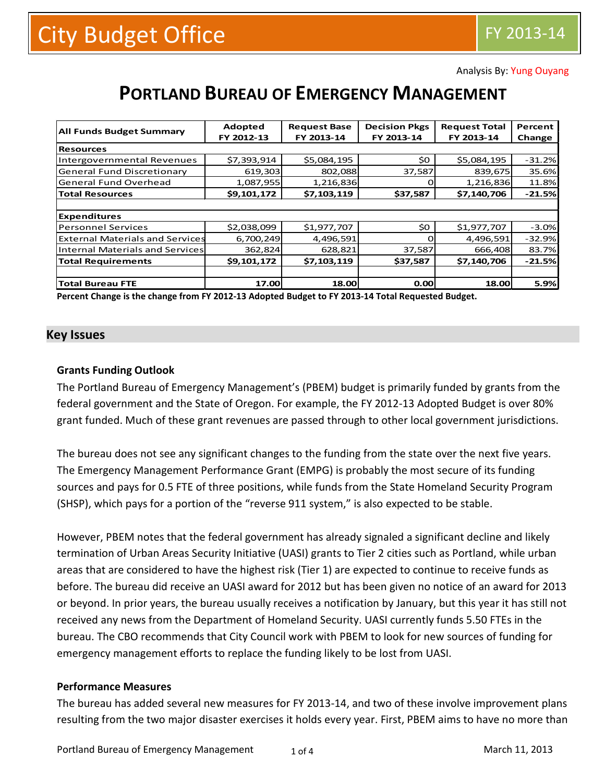Analysis By: Yung Ouyang

# **PORTLAND BUREAU OF EMERGENCY MANAGEMENT**

| <b>All Funds Budget Summary</b>        | Adopted     | <b>Request Base</b> | <b>Decision Pkgs</b> | <b>Request Total</b> | Percent  |
|----------------------------------------|-------------|---------------------|----------------------|----------------------|----------|
|                                        | FY 2012-13  | FY 2013-14          | FY 2013-14           | FY 2013-14           | Change   |
| <b>Resources</b>                       |             |                     |                      |                      |          |
| <b>Intergovernmental Revenues</b>      | \$7,393,914 | \$5,084,195         | \$0                  | \$5,084,195          | $-31.2%$ |
| <b>General Fund Discretionary</b>      | 619,303     | 802,088             | 37,587               | 839,675              | 35.6%    |
| <b>General Fund Overhead</b>           | 1,087,955   | 1,216,836           |                      | 1,216,836            | 11.8%    |
| <b>Total Resources</b>                 | \$9,101,172 | \$7,103,119         | \$37,587             | \$7,140,706          | $-21.5%$ |
|                                        |             |                     |                      |                      |          |
| <b>Expenditures</b>                    |             |                     |                      |                      |          |
| <b>Personnel Services</b>              | \$2,038,099 | \$1,977,707         | \$0                  | \$1,977,707          | $-3.0%$  |
| <b>External Materials and Services</b> | 6,700,249   | 4,496,591           |                      | 4,496,591            | $-32.9%$ |
| Internal Materials and Services        | 362,824     | 628,821             | 37,587               | 666,408              | 83.7%    |
| <b>Total Requirements</b>              | \$9,101,172 | \$7,103,119         | \$37,587             | \$7,140,706          | $-21.5%$ |
|                                        |             |                     |                      |                      |          |
| <b>Total Bureau FTE</b>                | 17.00       | 18.00               | 0.00                 | 18.00                | 5.9%     |

**Percent Change is the change from FY 2012-13 Adopted Budget to FY 2013-14 Total Requested Budget.**

#### **Key Issues**

#### **Grants Funding Outlook**

The Portland Bureau of Emergency Management's (PBEM) budget is primarily funded by grants from the federal government and the State of Oregon. For example, the FY 2012-13 Adopted Budget is over 80% grant funded. Much of these grant revenues are passed through to other local government jurisdictions.

The bureau does not see any significant changes to the funding from the state over the next five years. The Emergency Management Performance Grant (EMPG) is probably the most secure of its funding sources and pays for 0.5 FTE of three positions, while funds from the State Homeland Security Program (SHSP), which pays for a portion of the "reverse 911 system," is also expected to be stable.

However, PBEM notes that the federal government has already signaled a significant decline and likely termination of Urban Areas Security Initiative (UASI) grants to Tier 2 cities such as Portland, while urban areas that are considered to have the highest risk (Tier 1) are expected to continue to receive funds as before. The bureau did receive an UASI award for 2012 but has been given no notice of an award for 2013 or beyond. In prior years, the bureau usually receives a notification by January, but this year it has still not received any news from the Department of Homeland Security. UASI currently funds 5.50 FTEs in the bureau. The CBO recommends that City Council work with PBEM to look for new sources of funding for emergency management efforts to replace the funding likely to be lost from UASI.

#### **Performance Measures**

The bureau has added several new measures for FY 2013-14, and two of these involve improvement plans resulting from the two major disaster exercises it holds every year. First, PBEM aims to have no more than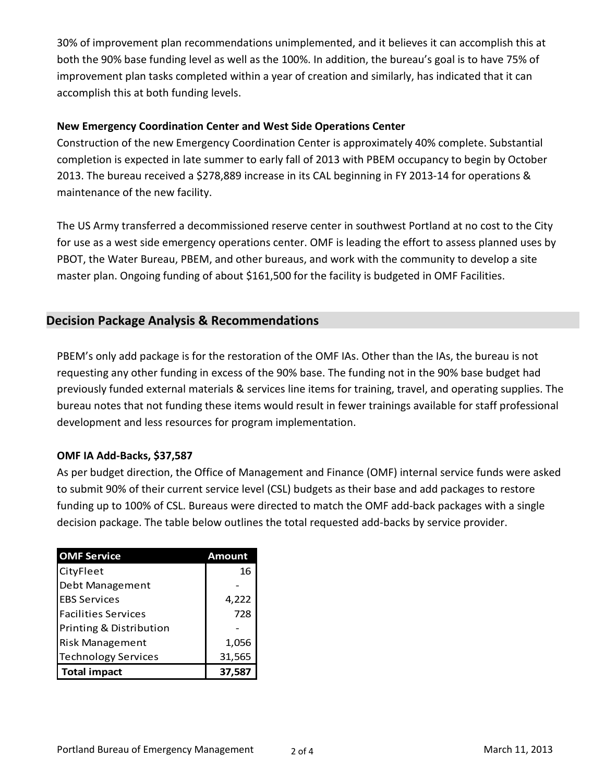30% of improvement plan recommendations unimplemented, and it believes it can accomplish this at both the 90% base funding level as well as the 100%. In addition, the bureau's goal is to have 75% of improvement plan tasks completed within a year of creation and similarly, has indicated that it can accomplish this at both funding levels.

### **New Emergency Coordination Center and West Side Operations Center**

Construction of the new Emergency Coordination Center is approximately 40% complete. Substantial completion is expected in late summer to early fall of 2013 with PBEM occupancy to begin by October 2013. The bureau received a \$278,889 increase in its CAL beginning in FY 2013-14 for operations & maintenance of the new facility.

The US Army transferred a decommissioned reserve center in southwest Portland at no cost to the City for use as a west side emergency operations center. OMF is leading the effort to assess planned uses by PBOT, the Water Bureau, PBEM, and other bureaus, and work with the community to develop a site master plan. Ongoing funding of about \$161,500 for the facility is budgeted in OMF Facilities.

## **Decision Package Analysis & Recommendations**

PBEM's only add package is for the restoration of the OMF IAs. Other than the IAs, the bureau is not requesting any other funding in excess of the 90% base. The funding not in the 90% base budget had previously funded external materials & services line items for training, travel, and operating supplies. The bureau notes that not funding these items would result in fewer trainings available for staff professional development and less resources for program implementation.

### **OMF IA Add-Backs, \$37,587**

As per budget direction, the Office of Management and Finance (OMF) internal service funds were asked to submit 90% of their current service level (CSL) budgets as their base and add packages to restore funding up to 100% of CSL. Bureaus were directed to match the OMF add-back packages with a single decision package. The table below outlines the total requested add-backs by service provider.

| <b>OMF Service</b>         | <b>Amount</b> |  |  |
|----------------------------|---------------|--|--|
| CityFleet                  | 16            |  |  |
| Debt Management            |               |  |  |
| <b>EBS Services</b>        | 4,222         |  |  |
| <b>Facilities Services</b> | 728           |  |  |
| Printing & Distribution    |               |  |  |
| <b>Risk Management</b>     | 1,056         |  |  |
| <b>Technology Services</b> | 31,565        |  |  |
| <b>Total impact</b>        | 37,587        |  |  |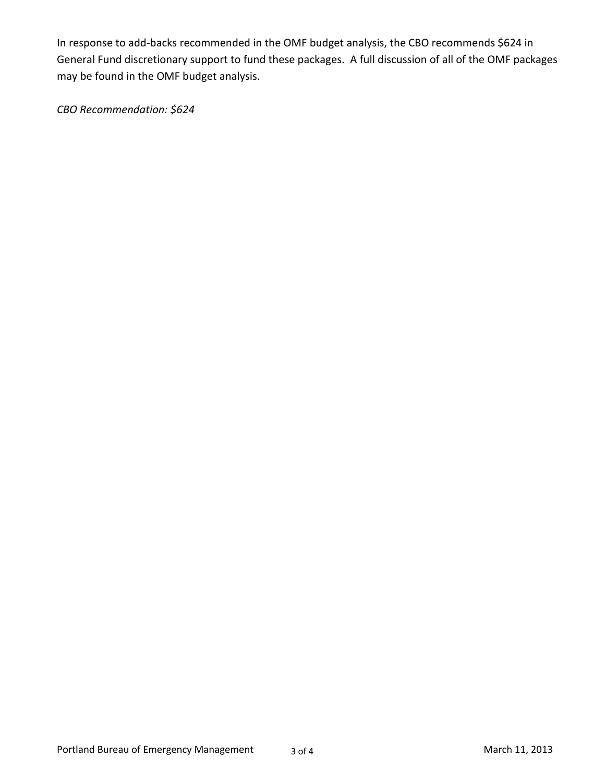In response to add-backs recommended in the OMF budget analysis, the CBO recommends \$624 in General Fund discretionary support to fund these packages. A full discussion of all of the OMF packages may be found in the OMF budget analysis.

*CBO Recommendation: \$624*